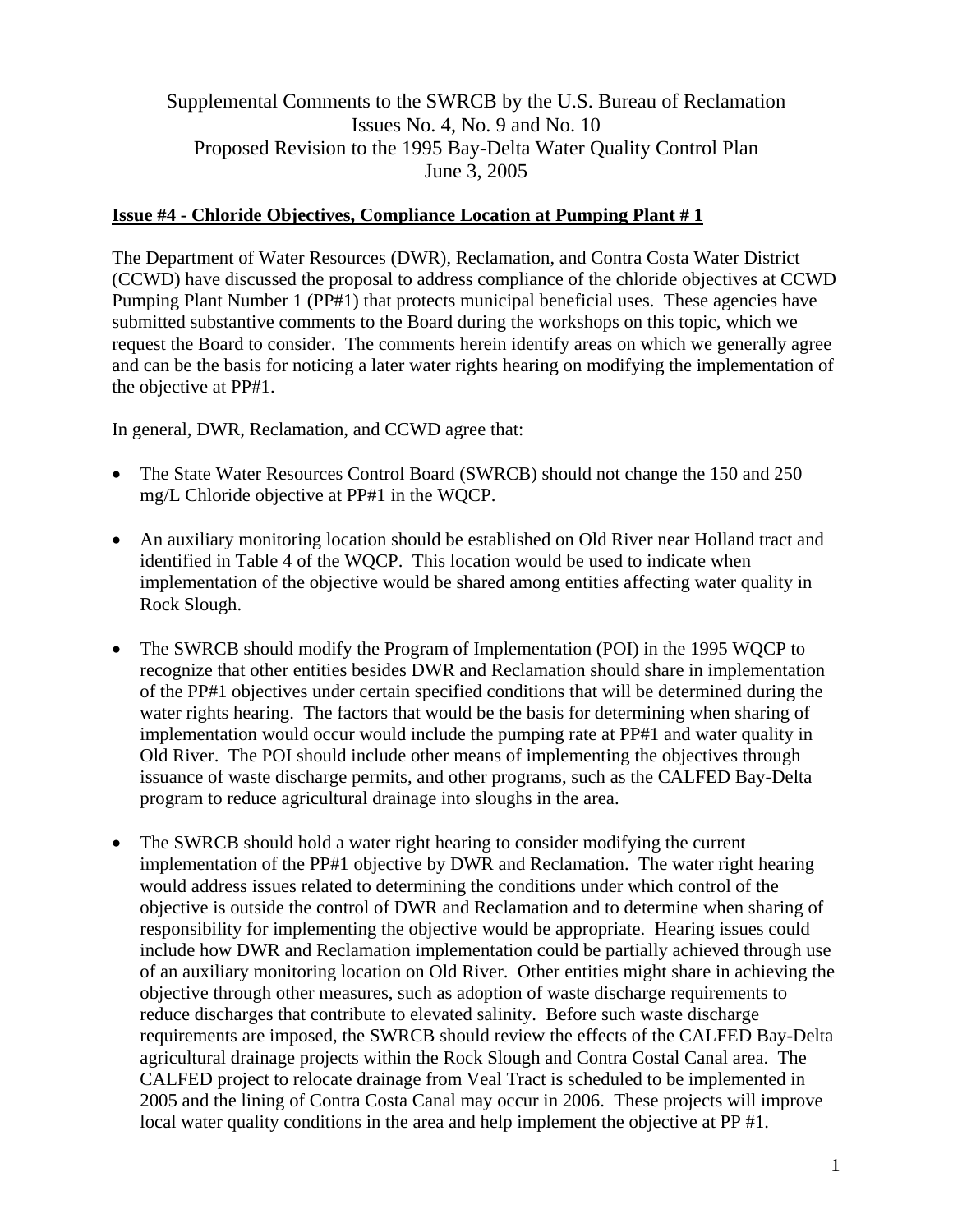## Supplemental Comments to the SWRCB by the U.S. Bureau of Reclamation Issues No. 4, No. 9 and No. 10 Proposed Revision to the 1995 Bay-Delta Water Quality Control Plan June 3, 2005

## **Issue #4 - Chloride Objectives, Compliance Location at Pumping Plant # 1**

The Department of Water Resources (DWR), Reclamation, and Contra Costa Water District (CCWD) have discussed the proposal to address compliance of the chloride objectives at CCWD Pumping Plant Number 1 (PP#1) that protects municipal beneficial uses. These agencies have submitted substantive comments to the Board during the workshops on this topic, which we request the Board to consider. The comments herein identify areas on which we generally agree and can be the basis for noticing a later water rights hearing on modifying the implementation of the objective at PP#1.

In general, DWR, Reclamation, and CCWD agree that:

- The State Water Resources Control Board (SWRCB) should not change the 150 and 250 mg/L Chloride objective at PP#1 in the WQCP.
- An auxiliary monitoring location should be established on Old River near Holland tract and identified in Table 4 of the WQCP. This location would be used to indicate when implementation of the objective would be shared among entities affecting water quality in Rock Slough.
- The SWRCB should modify the Program of Implementation (POI) in the 1995 WQCP to recognize that other entities besides DWR and Reclamation should share in implementation of the PP#1 objectives under certain specified conditions that will be determined during the water rights hearing. The factors that would be the basis for determining when sharing of implementation would occur would include the pumping rate at PP#1 and water quality in Old River. The POI should include other means of implementing the objectives through issuance of waste discharge permits, and other programs, such as the CALFED Bay-Delta program to reduce agricultural drainage into sloughs in the area.
- The SWRCB should hold a water right hearing to consider modifying the current implementation of the PP#1 objective by DWR and Reclamation. The water right hearing would address issues related to determining the conditions under which control of the objective is outside the control of DWR and Reclamation and to determine when sharing of responsibility for implementing the objective would be appropriate. Hearing issues could include how DWR and Reclamation implementation could be partially achieved through use of an auxiliary monitoring location on Old River. Other entities might share in achieving the objective through other measures, such as adoption of waste discharge requirements to reduce discharges that contribute to elevated salinity. Before such waste discharge requirements are imposed, the SWRCB should review the effects of the CALFED Bay-Delta agricultural drainage projects within the Rock Slough and Contra Costal Canal area. The CALFED project to relocate drainage from Veal Tract is scheduled to be implemented in 2005 and the lining of Contra Costa Canal may occur in 2006. These projects will improve local water quality conditions in the area and help implement the objective at PP #1.